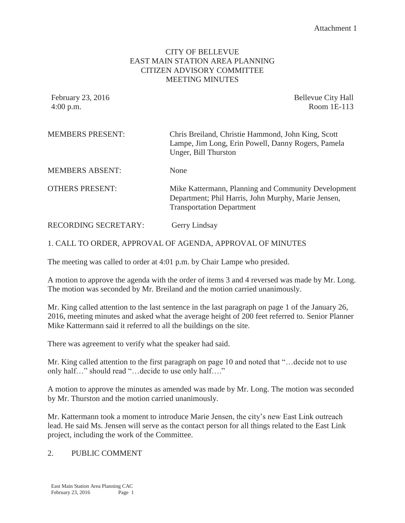## CITY OF BELLEVUE EAST MAIN STATION AREA PLANNING CITIZEN ADVISORY COMMITTEE MEETING MINUTES

February 23, 2016 Bellevue City Hall 4:00 p.m. Room 1E-113

MEMBERS PRESENT: Chris Breiland, Christie Hammond, John King, Scott Lampe, Jim Long, Erin Powell, Danny Rogers, Pamela Unger, Bill Thurston

MEMBERS ABSENT: None

OTHERS PRESENT: Mike Kattermann, Planning and Community Development Department; Phil Harris, John Murphy, Marie Jensen, Transportation Department

RECORDING SECRETARY: Gerry Lindsay

1. CALL TO ORDER, APPROVAL OF AGENDA, APPROVAL OF MINUTES

The meeting was called to order at 4:01 p.m. by Chair Lampe who presided.

A motion to approve the agenda with the order of items 3 and 4 reversed was made by Mr. Long. The motion was seconded by Mr. Breiland and the motion carried unanimously.

Mr. King called attention to the last sentence in the last paragraph on page 1 of the January 26, 2016, meeting minutes and asked what the average height of 200 feet referred to. Senior Planner Mike Kattermann said it referred to all the buildings on the site.

There was agreement to verify what the speaker had said.

Mr. King called attention to the first paragraph on page 10 and noted that "…decide not to use only half…" should read "…decide to use only half…."

A motion to approve the minutes as amended was made by Mr. Long. The motion was seconded by Mr. Thurston and the motion carried unanimously.

Mr. Kattermann took a moment to introduce Marie Jensen, the city's new East Link outreach lead. He said Ms. Jensen will serve as the contact person for all things related to the East Link project, including the work of the Committee.

## 2. PUBLIC COMMENT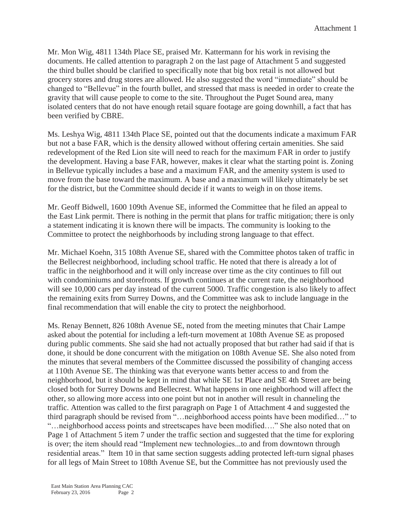Mr. Mon Wig, 4811 134th Place SE, praised Mr. Kattermann for his work in revising the documents. He called attention to paragraph 2 on the last page of Attachment 5 and suggested the third bullet should be clarified to specifically note that big box retail is not allowed but grocery stores and drug stores are allowed. He also suggested the word "immediate" should be changed to "Bellevue" in the fourth bullet, and stressed that mass is needed in order to create the gravity that will cause people to come to the site. Throughout the Puget Sound area, many isolated centers that do not have enough retail square footage are going downhill, a fact that has been verified by CBRE.

Ms. Leshya Wig, 4811 134th Place SE, pointed out that the documents indicate a maximum FAR but not a base FAR, which is the density allowed without offering certain amenities. She said redevelopment of the Red Lion site will need to reach for the maximum FAR in order to justify the development. Having a base FAR, however, makes it clear what the starting point is. Zoning in Bellevue typically includes a base and a maximum FAR, and the amenity system is used to move from the base toward the maximum. A base and a maximum will likely ultimately be set for the district, but the Committee should decide if it wants to weigh in on those items.

Mr. Geoff Bidwell, 1600 109th Avenue SE, informed the Committee that he filed an appeal to the East Link permit. There is nothing in the permit that plans for traffic mitigation; there is only a statement indicating it is known there will be impacts. The community is looking to the Committee to protect the neighborhoods by including strong language to that effect.

Mr. Michael Koehn, 315 108th Avenue SE, shared with the Committee photos taken of traffic in the Bellecrest neighborhood, including school traffic. He noted that there is already a lot of traffic in the neighborhood and it will only increase over time as the city continues to fill out with condominiums and storefronts. If growth continues at the current rate, the neighborhood will see 10,000 cars per day instead of the current 5000. Traffic congestion is also likely to affect the remaining exits from Surrey Downs, and the Committee was ask to include language in the final recommendation that will enable the city to protect the neighborhood.

Ms. Renay Bennett, 826 108th Avenue SE, noted from the meeting minutes that Chair Lampe asked about the potential for including a left-turn movement at 108th Avenue SE as proposed during public comments. She said she had not actually proposed that but rather had said if that is done, it should be done concurrent with the mitigation on 108th Avenue SE. She also noted from the minutes that several members of the Committee discussed the possibility of changing access at 110th Avenue SE. The thinking was that everyone wants better access to and from the neighborhood, but it should be kept in mind that while SE 1st Place and SE 4th Street are being closed both for Surrey Downs and Bellecrest. What happens in one neighborhood will affect the other, so allowing more access into one point but not in another will result in channeling the traffic. Attention was called to the first paragraph on Page 1 of Attachment 4 and suggested the third paragraph should be revised from "…neighborhood access points have been modified…" to "…neighborhood access points and streetscapes have been modified…." She also noted that on Page 1 of Attachment 5 item 7 under the traffic section and suggested that the time for exploring is over; the item should read "Implement new technologies...to and from downtown through residential areas." Item 10 in that same section suggests adding protected left-turn signal phases for all legs of Main Street to 108th Avenue SE, but the Committee has not previously used the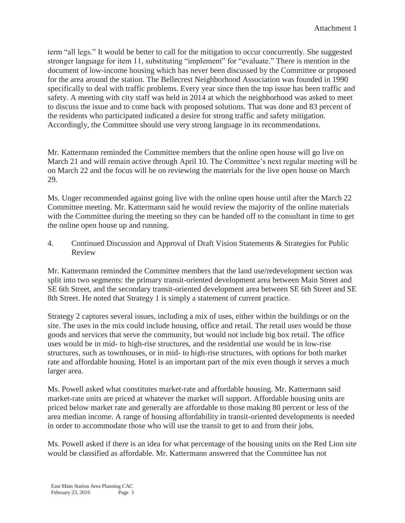term "all legs." It would be better to call for the mitigation to occur concurrently. She suggested stronger language for item 11, substituting "implement" for "evaluate." There is mention in the document of low-income housing which has never been discussed by the Committee or proposed for the area around the station. The Bellecrest Neighborhood Association was founded in 1990 specifically to deal with traffic problems. Every year since then the top issue has been traffic and safety. A meeting with city staff was held in 2014 at which the neighborhood was asked to meet to discuss the issue and to come back with proposed solutions. That was done and 83 percent of the residents who participated indicated a desire for strong traffic and safety mitigation. Accordingly, the Committee should use very strong language in its recommendations.

Mr. Kattermann reminded the Committee members that the online open house will go live on March 21 and will remain active through April 10. The Committee's next regular meeting will be on March 22 and the focus will be on reviewing the materials for the live open house on March 29.

Ms. Unger recommended against going live with the online open house until after the March 22 Committee meeting. Mr. Kattermann said he would review the majority of the online materials with the Committee during the meeting so they can be handed off to the consultant in time to get the online open house up and running.

4. Continued Discussion and Approval of Draft Vision Statements & Strategies for Public Review

Mr. Kattermann reminded the Committee members that the land use/redevelopment section was split into two segments: the primary transit-oriented development area between Main Street and SE 6th Street, and the secondary transit-oriented development area between SE 6th Street and SE 8th Street. He noted that Strategy 1 is simply a statement of current practice.

Strategy 2 captures several issues, including a mix of uses, either within the buildings or on the site. The uses in the mix could include housing, office and retail. The retail uses would be those goods and services that serve the community, but would not include big box retail. The office uses would be in mid- to high-rise structures, and the residential use would be in low-rise structures, such as townhouses, or in mid- to high-rise structures, with options for both market rate and affordable housing. Hotel is an important part of the mix even though it serves a much larger area.

Ms. Powell asked what constitutes market-rate and affordable housing. Mr. Kattermann said market-rate units are priced at whatever the market will support. Affordable housing units are priced below market rate and generally are affordable to those making 80 percent or less of the area median income. A range of housing affordability in transit-oriented developments is needed in order to accommodate those who will use the transit to get to and from their jobs.

Ms. Powell asked if there is an idea for what percentage of the housing units on the Red Lion site would be classified as affordable. Mr. Kattermann answered that the Committee has not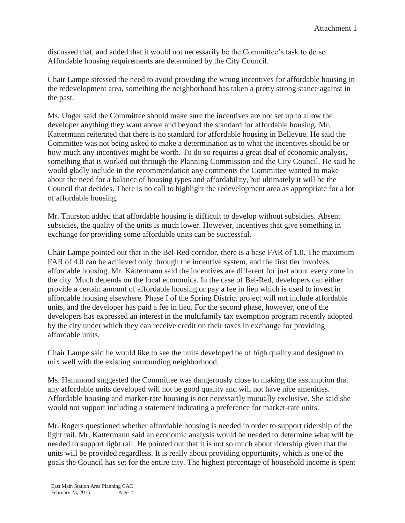discussed that, and added that it would not necessarily be the Committee's task to do so. Affordable housing requirements are determined by the City Council.

Chair Lampe stressed the need to avoid providing the wrong incentives for affordable housing in the redevelopment area, something the neighborhood has taken a pretty strong stance against in the past.

Ms. Unger said the Committee should make sure the incentives are not set up to allow the developer anything they want above and beyond the standard for affordable housing. Mr. Kattermann reiterated that there is no standard for affordable housing in Bellevue. He said the Committee was not being asked to make a determination as to what the incentives should be or how much any incentives might be worth. To do so requires a great deal of economic analysis, something that is worked out through the Planning Commission and the City Council. He said he would gladly include in the recommendation any comments the Committee wanted to make about the need for a balance of housing types and affordability, but ultimately it will be the Council that decides. There is no call to highlight the redevelopment area as appropriate for a lot of affordable housing.

Mr. Thurston added that affordable housing is difficult to develop without subsidies. Absent subsidies, the quality of the units is much lower. However, incentives that give something in exchange for providing some affordable units can be successful.

Chair Lampe pointed out that in the Bel-Red corridor, there is a base FAR of 1.0. The maximum FAR of 4.0 can be achieved only through the incentive system, and the first tier involves affordable housing. Mr. Kattermann said the incentives are different for just about every zone in the city. Much depends on the local economics. In the case of Bel-Red, developers can either provide a certain amount of affordable housing or pay a fee in lieu which is used to invest in affordable housing elsewhere. Phase I of the Spring District project will not include affordable units, and the developer has paid a fee in lieu. For the second phase, however, one of the developers has expressed an interest in the multifamily tax exemption program recently adopted by the city under which they can receive credit on their taxes in exchange for providing affordable units.

Chair Lampe said he would like to see the units developed be of high quality and designed to mix well with the existing surrounding neighborhood.

Ms. Hammond suggested the Committee was dangerously close to making the assumption that any affordable units developed will not be good quality and will not have nice amenities. Affordable housing and market-rate housing is not necessarily mutually exclusive. She said she would not support including a statement indicating a preference for market-rate units.

Mr. Rogers questioned whether affordable housing is needed in order to support ridership of the light rail. Mr. Kattermann said an economic analysis would be needed to determine what will be needed to support light rail. He pointed out that it is not so much about ridership given that the units will be provided regardless. It is really about providing opportunity, which is one of the goals the Council has set for the entire city. The highest percentage of household income is spent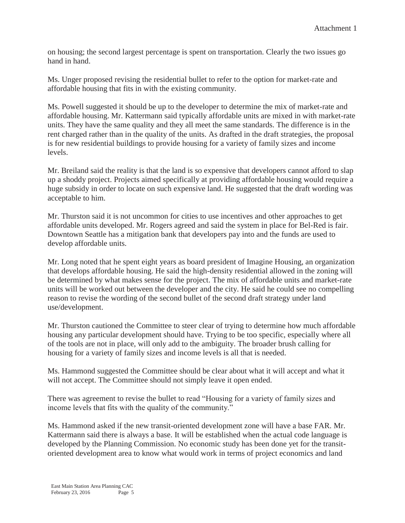on housing; the second largest percentage is spent on transportation. Clearly the two issues go hand in hand.

Ms. Unger proposed revising the residential bullet to refer to the option for market-rate and affordable housing that fits in with the existing community.

Ms. Powell suggested it should be up to the developer to determine the mix of market-rate and affordable housing. Mr. Kattermann said typically affordable units are mixed in with market-rate units. They have the same quality and they all meet the same standards. The difference is in the rent charged rather than in the quality of the units. As drafted in the draft strategies, the proposal is for new residential buildings to provide housing for a variety of family sizes and income levels.

Mr. Breiland said the reality is that the land is so expensive that developers cannot afford to slap up a shoddy project. Projects aimed specifically at providing affordable housing would require a huge subsidy in order to locate on such expensive land. He suggested that the draft wording was acceptable to him.

Mr. Thurston said it is not uncommon for cities to use incentives and other approaches to get affordable units developed. Mr. Rogers agreed and said the system in place for Bel-Red is fair. Downtown Seattle has a mitigation bank that developers pay into and the funds are used to develop affordable units.

Mr. Long noted that he spent eight years as board president of Imagine Housing, an organization that develops affordable housing. He said the high-density residential allowed in the zoning will be determined by what makes sense for the project. The mix of affordable units and market-rate units will be worked out between the developer and the city. He said he could see no compelling reason to revise the wording of the second bullet of the second draft strategy under land use/development.

Mr. Thurston cautioned the Committee to steer clear of trying to determine how much affordable housing any particular development should have. Trying to be too specific, especially where all of the tools are not in place, will only add to the ambiguity. The broader brush calling for housing for a variety of family sizes and income levels is all that is needed.

Ms. Hammond suggested the Committee should be clear about what it will accept and what it will not accept. The Committee should not simply leave it open ended.

There was agreement to revise the bullet to read "Housing for a variety of family sizes and income levels that fits with the quality of the community."

Ms. Hammond asked if the new transit-oriented development zone will have a base FAR. Mr. Kattermann said there is always a base. It will be established when the actual code language is developed by the Planning Commission. No economic study has been done yet for the transitoriented development area to know what would work in terms of project economics and land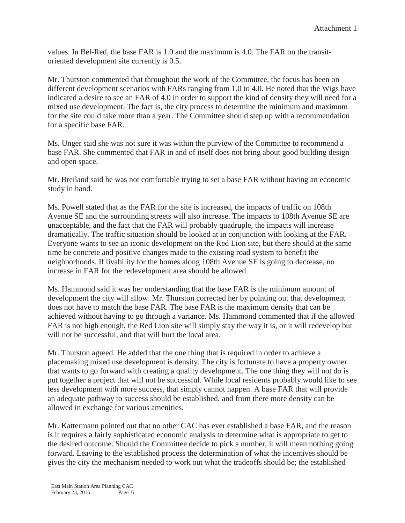values. In Bel-Red, the base FAR is 1.0 and the maximum is 4.0. The FAR on the transitoriented development site currently is 0.5.

Mr. Thurston commented that throughout the work of the Committee, the focus has been on different development scenarios with FARs ranging from 1.0 to 4.0. He noted that the Wigs have indicated a desire to see an FAR of 4.0 in order to support the kind of density they will need for a mixed use development. The fact is, the city process to determine the minimum and maximum for the site could take more than a year. The Committee should step up with a recommendation for a specific base FAR.

Ms. Unger said she was not sure it was within the purview of the Committee to recommend a base FAR. She commented that FAR in and of itself does not bring about good building design and open space.

Mr. Breiland said he was not comfortable trying to set a base FAR without having an economic study in hand.

Ms. Powell stated that as the FAR for the site is increased, the impacts of traffic on 108th Avenue SE and the surrounding streets will also increase. The impacts to 108th Avenue SE are unacceptable, and the fact that the FAR will probably quadruple, the impacts will increase dramatically. The traffic situation should be looked at in conjunction with looking at the FAR. Everyone wants to see an iconic development on the Red Lion site, but there should at the same time be concrete and positive changes made to the existing road system to benefit the neighborhoods. If livability for the homes along 108th Avenue SE is going to decrease, no increase in FAR for the redevelopment area should be allowed.

Ms. Hammond said it was her understanding that the base FAR is the minimum amount of development the city will allow. Mr. Thurston corrected her by pointing out that development does not have to match the base FAR. The base FAR is the maximum density that can be achieved without having to go through a variance. Ms. Hammond commented that if the allowed FAR is not high enough, the Red Lion site will simply stay the way it is, or it will redevelop but will not be successful, and that will hurt the local area.

Mr. Thurston agreed. He added that the one thing that is required in order to achieve a placemaking mixed use development is density. The city is fortunate to have a property owner that wants to go forward with creating a quality development. The one thing they will not do is put together a project that will not be successful. While local residents probably would like to see less development with more success, that simply cannot happen. A base FAR that will provide an adequate pathway to success should be established, and from there more density can be allowed in exchange for various amenities.

Mr. Kattermann pointed out that no other CAC has ever established a base FAR, and the reason is it requires a fairly sophisticated economic analysis to determine what is appropriate to get to the desired outcome. Should the Committee decide to pick a number, it will mean nothing going forward. Leaving to the established process the determination of what the incentives should be gives the city the mechanism needed to work out what the tradeoffs should be; the established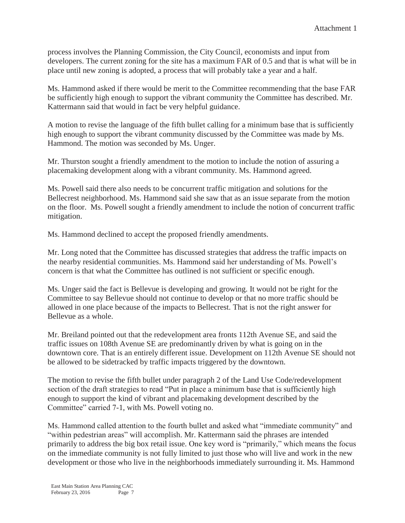process involves the Planning Commission, the City Council, economists and input from developers. The current zoning for the site has a maximum FAR of 0.5 and that is what will be in place until new zoning is adopted, a process that will probably take a year and a half.

Ms. Hammond asked if there would be merit to the Committee recommending that the base FAR be sufficiently high enough to support the vibrant community the Committee has described. Mr. Kattermann said that would in fact be very helpful guidance.

A motion to revise the language of the fifth bullet calling for a minimum base that is sufficiently high enough to support the vibrant community discussed by the Committee was made by Ms. Hammond. The motion was seconded by Ms. Unger.

Mr. Thurston sought a friendly amendment to the motion to include the notion of assuring a placemaking development along with a vibrant community. Ms. Hammond agreed.

Ms. Powell said there also needs to be concurrent traffic mitigation and solutions for the Bellecrest neighborhood. Ms. Hammond said she saw that as an issue separate from the motion on the floor. Ms. Powell sought a friendly amendment to include the notion of concurrent traffic mitigation.

Ms. Hammond declined to accept the proposed friendly amendments.

Mr. Long noted that the Committee has discussed strategies that address the traffic impacts on the nearby residential communities. Ms. Hammond said her understanding of Ms. Powell's concern is that what the Committee has outlined is not sufficient or specific enough.

Ms. Unger said the fact is Bellevue is developing and growing. It would not be right for the Committee to say Bellevue should not continue to develop or that no more traffic should be allowed in one place because of the impacts to Bellecrest. That is not the right answer for Bellevue as a whole.

Mr. Breiland pointed out that the redevelopment area fronts 112th Avenue SE, and said the traffic issues on 108th Avenue SE are predominantly driven by what is going on in the downtown core. That is an entirely different issue. Development on 112th Avenue SE should not be allowed to be sidetracked by traffic impacts triggered by the downtown.

The motion to revise the fifth bullet under paragraph 2 of the Land Use Code/redevelopment section of the draft strategies to read "Put in place a minimum base that is sufficiently high enough to support the kind of vibrant and placemaking development described by the Committee" carried 7-1, with Ms. Powell voting no.

Ms. Hammond called attention to the fourth bullet and asked what "immediate community" and "within pedestrian areas" will accomplish. Mr. Kattermann said the phrases are intended primarily to address the big box retail issue. One key word is "primarily," which means the focus on the immediate community is not fully limited to just those who will live and work in the new development or those who live in the neighborhoods immediately surrounding it. Ms. Hammond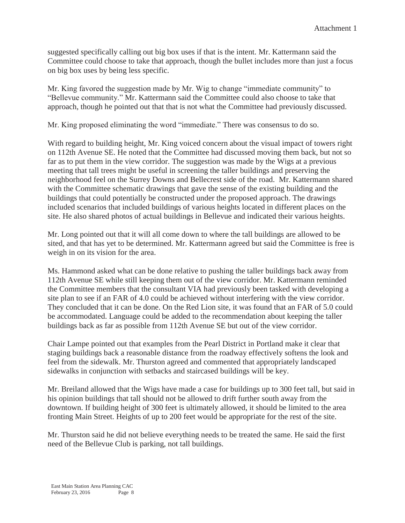suggested specifically calling out big box uses if that is the intent. Mr. Kattermann said the Committee could choose to take that approach, though the bullet includes more than just a focus on big box uses by being less specific.

Mr. King favored the suggestion made by Mr. Wig to change "immediate community" to "Bellevue community." Mr. Kattermann said the Committee could also choose to take that approach, though he pointed out that that is not what the Committee had previously discussed.

Mr. King proposed eliminating the word "immediate." There was consensus to do so.

With regard to building height, Mr. King voiced concern about the visual impact of towers right on 112th Avenue SE. He noted that the Committee had discussed moving them back, but not so far as to put them in the view corridor. The suggestion was made by the Wigs at a previous meeting that tall trees might be useful in screening the taller buildings and preserving the neighborhood feel on the Surrey Downs and Bellecrest side of the road. Mr. Kattermann shared with the Committee schematic drawings that gave the sense of the existing building and the buildings that could potentially be constructed under the proposed approach. The drawings included scenarios that included buildings of various heights located in different places on the site. He also shared photos of actual buildings in Bellevue and indicated their various heights.

Mr. Long pointed out that it will all come down to where the tall buildings are allowed to be sited, and that has yet to be determined. Mr. Kattermann agreed but said the Committee is free is weigh in on its vision for the area.

Ms. Hammond asked what can be done relative to pushing the taller buildings back away from 112th Avenue SE while still keeping them out of the view corridor. Mr. Kattermann reminded the Committee members that the consultant VIA had previously been tasked with developing a site plan to see if an FAR of 4.0 could be achieved without interfering with the view corridor. They concluded that it can be done. On the Red Lion site, it was found that an FAR of 5.0 could be accommodated. Language could be added to the recommendation about keeping the taller buildings back as far as possible from 112th Avenue SE but out of the view corridor.

Chair Lampe pointed out that examples from the Pearl District in Portland make it clear that staging buildings back a reasonable distance from the roadway effectively softens the look and feel from the sidewalk. Mr. Thurston agreed and commented that appropriately landscaped sidewalks in conjunction with setbacks and staircased buildings will be key.

Mr. Breiland allowed that the Wigs have made a case for buildings up to 300 feet tall, but said in his opinion buildings that tall should not be allowed to drift further south away from the downtown. If building height of 300 feet is ultimately allowed, it should be limited to the area fronting Main Street. Heights of up to 200 feet would be appropriate for the rest of the site.

Mr. Thurston said he did not believe everything needs to be treated the same. He said the first need of the Bellevue Club is parking, not tall buildings.